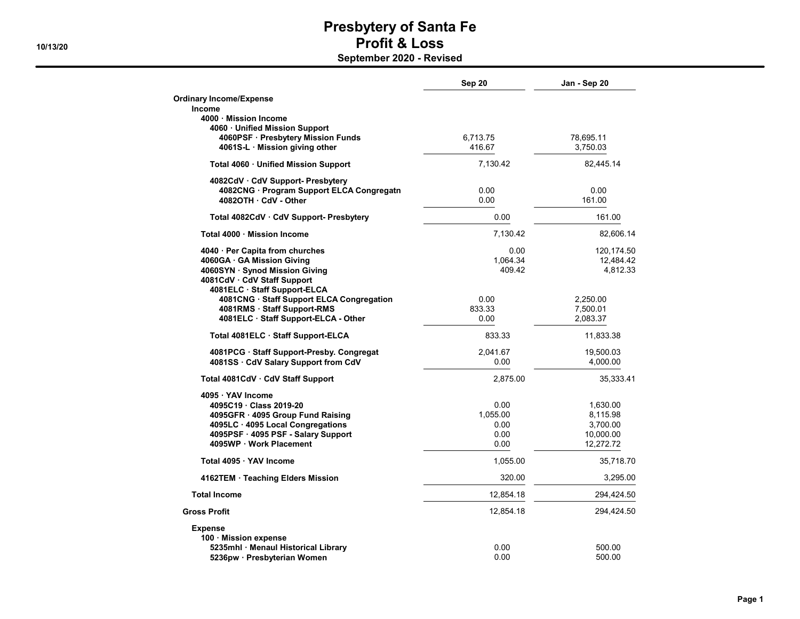| <b>Ordinary Income/Expense</b><br>Income<br>4000 Mission Income<br>4060 · Unified Mission Support<br>4060PSF · Presbytery Mission Funds<br>6.713.75<br>78,695.11<br>416.67<br>4061S-L · Mission giving other<br>3,750.03 | 82,445.14  |
|--------------------------------------------------------------------------------------------------------------------------------------------------------------------------------------------------------------------------|------------|
|                                                                                                                                                                                                                          |            |
|                                                                                                                                                                                                                          |            |
|                                                                                                                                                                                                                          |            |
|                                                                                                                                                                                                                          |            |
|                                                                                                                                                                                                                          |            |
| Total 4060 · Unified Mission Support<br>7,130.42                                                                                                                                                                         |            |
|                                                                                                                                                                                                                          |            |
| 4082CdV · CdV Support- Presbytery                                                                                                                                                                                        |            |
| 4082CNG · Program Support ELCA Congregatn<br>0.00                                                                                                                                                                        | 0.00       |
| 4082OTH CdV - Other<br>0.00                                                                                                                                                                                              | 161.00     |
| 0.00<br>Total 4082CdV · CdV Support- Presbytery                                                                                                                                                                          | 161.00     |
| Total 4000 · Mission Income<br>7,130.42                                                                                                                                                                                  | 82,606.14  |
| 4040 · Per Capita from churches<br>0.00                                                                                                                                                                                  | 120,174.50 |
| 4060GA · GA Mission Giving<br>1,064.34                                                                                                                                                                                   | 12,484.42  |
| 409.42<br>4060SYN · Synod Mission Giving                                                                                                                                                                                 | 4,812.33   |
| 4081CdV · CdV Staff Support                                                                                                                                                                                              |            |
| 4081ELC · Staff Support-ELCA                                                                                                                                                                                             |            |
| 4081CNG · Staff Support ELCA Congregation<br>0.00<br>2,250.00                                                                                                                                                            |            |
| 4081RMS · Staff Support-RMS<br>833.33<br>7.500.01                                                                                                                                                                        |            |
| 4081ELC · Staff Support-ELCA - Other<br>0.00<br>2,083.37                                                                                                                                                                 |            |
| Total 4081ELC · Staff Support-ELCA<br>833.33                                                                                                                                                                             | 11,833.38  |
| 2,041.67<br>4081PCG · Staff Support-Presby. Congregat                                                                                                                                                                    | 19,500.03  |
| 4081SS · CdV Salary Support from CdV<br>0.00                                                                                                                                                                             | 4,000.00   |
| 2,875.00<br>Total 4081CdV · CdV Staff Support                                                                                                                                                                            | 35,333.41  |
| 4095 · YAV Income                                                                                                                                                                                                        |            |
| 4095C19 · Class 2019-20<br>0.00                                                                                                                                                                                          | 1,630.00   |
| 1,055.00<br>4095GFR · 4095 Group Fund Raising                                                                                                                                                                            | 8,115.98   |
| 4095LC · 4095 Local Congregations<br>0.00                                                                                                                                                                                | 3,700.00   |
| 4095PSF · 4095 PSF - Salary Support<br>0.00                                                                                                                                                                              | 10,000.00  |
| 4095WP · Work Placement<br>0.00                                                                                                                                                                                          | 12,272.72  |
| Total 4095 · YAV Income<br>1,055.00                                                                                                                                                                                      | 35,718.70  |
| 320.00<br>4162TEM · Teaching Elders Mission                                                                                                                                                                              | 3,295.00   |
| <b>Total Income</b><br>12,854.18                                                                                                                                                                                         | 294,424.50 |
| <b>Gross Profit</b><br>12,854.18                                                                                                                                                                                         | 294,424.50 |
| <b>Expense</b>                                                                                                                                                                                                           |            |
| 100 Mission expense                                                                                                                                                                                                      |            |
| 0.00<br>5235mhl · Menaul Historical Library                                                                                                                                                                              | 500.00     |
| 5236pw · Presbyterian Women<br>0.00                                                                                                                                                                                      | 500.00     |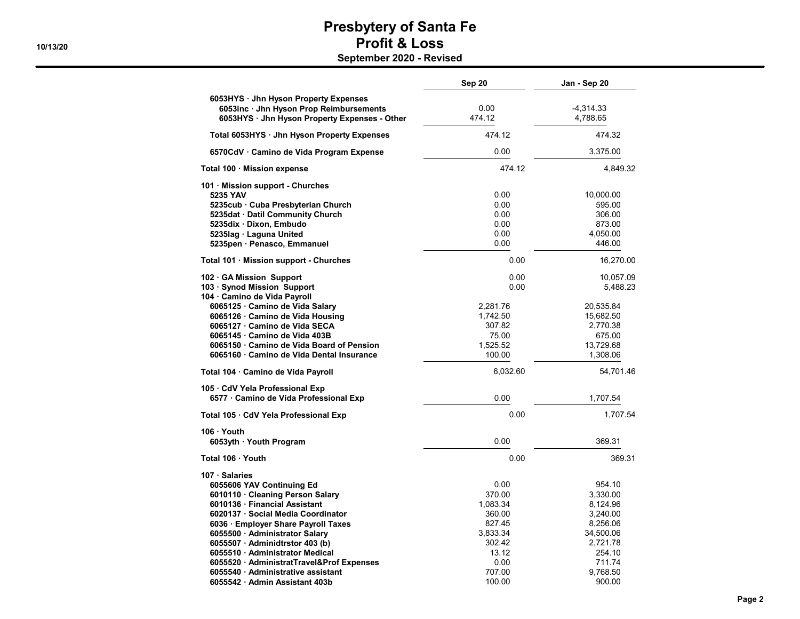|                                                                                                                                                                                                                            | <b>Sep 20</b>                                                 | Jan - Sep 20                                                                  |
|----------------------------------------------------------------------------------------------------------------------------------------------------------------------------------------------------------------------------|---------------------------------------------------------------|-------------------------------------------------------------------------------|
| 6053HYS · Jhn Hyson Property Expenses<br>6053inc · Jhn Hyson Prop Reimbursements<br>6053HYS · Jhn Hyson Property Expenses - Other                                                                                          | 0.00<br>474.12                                                | $-4,314.33$<br>4,788.65                                                       |
| Total 6053HYS · Jhn Hyson Property Expenses                                                                                                                                                                                | 474.12                                                        | 474.32                                                                        |
| 6570CdV · Camino de Vida Program Expense                                                                                                                                                                                   | 0.00                                                          | 3,375.00                                                                      |
| Total 100 · Mission expense                                                                                                                                                                                                | 474.12                                                        | 4,849.32                                                                      |
| 101 · Mission support - Churches<br>5235 YAV<br>5235cub · Cuba Presbyterian Church<br>5235dat · Datil Community Church<br>5235dix Dixon, Embudo<br>5235lag · Laguna United<br>5235pen · Penasco, Emmanuel                  | 0.00<br>0.00<br>0.00<br>0.00<br>0.00<br>0.00                  | 10,000.00<br>595.00<br>306.00<br>873.00<br>4,050.00<br>446.00                 |
| Total 101 · Mission support - Churches                                                                                                                                                                                     | 0.00                                                          | 16,270.00                                                                     |
| 102 GA Mission Support<br>103 · Synod Mission Support<br>104 · Camino de Vida Payroll                                                                                                                                      | 0.00<br>0.00                                                  | 10,057.09<br>5,488.23                                                         |
| 6065125 · Camino de Vida Salary<br>6065126 · Camino de Vida Housing<br>6065127 Camino de Vida SECA<br>6065145 · Camino de Vida 403B<br>6065150 Camino de Vida Board of Pension<br>6065160 Camino de Vida Dental Insurance  | 2,281.76<br>1,742.50<br>307.82<br>75.00<br>1,525.52<br>100.00 | 20,535.84<br>15,682.50<br>2,770.38<br>675.00<br>13,729.68<br>1,308.06         |
| Total 104 · Camino de Vida Payroll                                                                                                                                                                                         | 6,032.60                                                      | 54,701.46                                                                     |
| 105 CdV Yela Professional Exp<br>6577 · Camino de Vida Professional Exp                                                                                                                                                    | 0.00                                                          | 1,707.54                                                                      |
| Total 105 · CdV Yela Professional Exp                                                                                                                                                                                      | 0.00                                                          | 1,707.54                                                                      |
| 106 Youth<br>6053yth · Youth Program                                                                                                                                                                                       | 0.00                                                          | 369.31                                                                        |
| Total 106 · Youth                                                                                                                                                                                                          | 0.00                                                          | 369.31                                                                        |
| 107 Salaries<br>6055606 YAV Continuing Ed<br>6010110 · Cleaning Person Salary<br>6010136 · Financial Assistant                                                                                                             | 0.00<br>370.00<br>1,083.34                                    | 954.10<br>3,330.00                                                            |
| 6020137 · Social Media Coordinator<br>6036 · Employer Share Payroll Taxes<br>6055500 · Administrator Salary<br>6055507 Adminidtrstor 403 (b)<br>6055510 Administrator Medical<br>6055520 · AdministratTravel&Prof Expenses | 360.00<br>827.45<br>3,833.34<br>302.42<br>13.12<br>0.00       | 8,124.96<br>3,240.00<br>8,256.06<br>34,500.06<br>2,721.78<br>254.10<br>711.74 |
| 6055540 Administrative assistant<br>6055542 · Admin Assistant 403b                                                                                                                                                         | 707.00<br>100.00                                              | 9.768.50<br>900.00                                                            |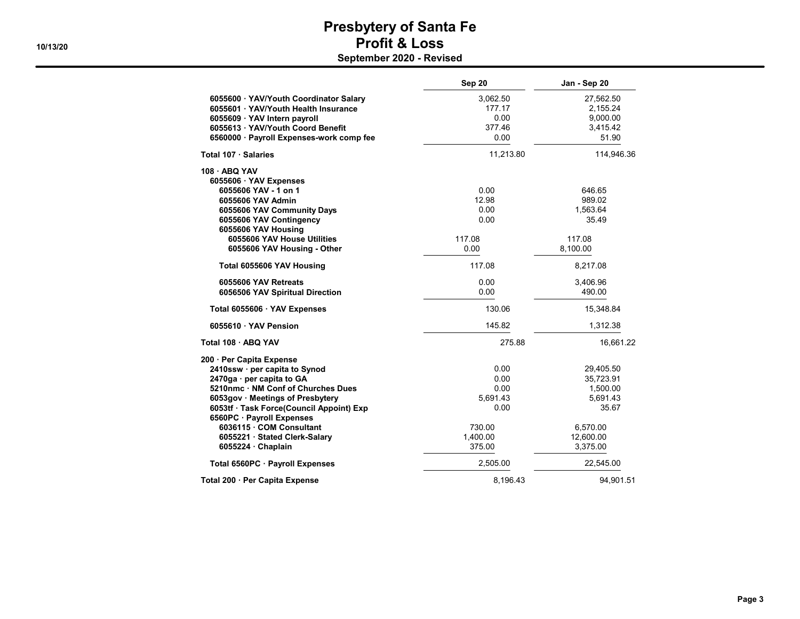|                                          | Sep 20    | Jan - Sep 20 |
|------------------------------------------|-----------|--------------|
| 6055600 · YAV/Youth Coordinator Salary   | 3,062.50  | 27,562.50    |
| 6055601 YAV/Youth Health Insurance       | 177.17    | 2,155.24     |
| 6055609 YAV Intern payroll               | 0.00      | 9,000.00     |
| 6055613 YAV/Youth Coord Benefit          | 377.46    | 3,415.42     |
| 6560000 · Payroll Expenses-work comp fee | 0.00      | 51.90        |
| Total 107 · Salaries                     | 11,213.80 | 114,946.36   |
| 108 ABQ YAV                              |           |              |
| 6055606 · YAV Expenses                   |           |              |
| 6055606 YAV - 1 on 1                     | 0.00      | 646.65       |
| 6055606 YAV Admin                        | 12.98     | 989.02       |
| 6055606 YAV Community Days               | 0.00      | 1,563.64     |
| 6055606 YAV Contingency                  | 0.00      | 35.49        |
| 6055606 YAV Housing                      |           |              |
| 6055606 YAV House Utilities              | 117.08    | 117.08       |
| 6055606 YAV Housing - Other              | 0.00      | 8,100.00     |
| Total 6055606 YAV Housing                | 117.08    | 8,217.08     |
| 6055606 YAV Retreats                     | 0.00      | 3,406.96     |
| 6056506 YAV Spiritual Direction          | 0.00      | 490.00       |
| Total 6055606 · YAV Expenses             | 130.06    | 15,348.84    |
| 6055610 · YAV Pension                    | 145.82    | 1,312.38     |
| Total 108 · ABQ YAV                      | 275.88    | 16,661.22    |
| 200 · Per Capita Expense                 |           |              |
| 2410ssw · per capita to Synod            | 0.00      | 29,405.50    |
| 2470ga · per capita to GA                | 0.00      | 35,723.91    |
| 5210nmc · NM Conf of Churches Dues       | 0.00      | 1,500.00     |
| 6053gov · Meetings of Presbytery         | 5,691.43  | 5,691.43     |
| 6053tf · Task Force(Council Appoint) Exp | 0.00      | 35.67        |
| 6560PC · Payroll Expenses                |           |              |
| 6036115 · COM Consultant                 | 730.00    | 6,570.00     |
| 6055221 · Stated Clerk-Salary            | 1.400.00  | 12.600.00    |
| 6055224 · Chaplain                       | 375.00    | 3,375.00     |
| Total 6560PC · Payroll Expenses          | 2,505.00  | 22,545.00    |
| Total 200 · Per Capita Expense           | 8,196.43  | 94,901.51    |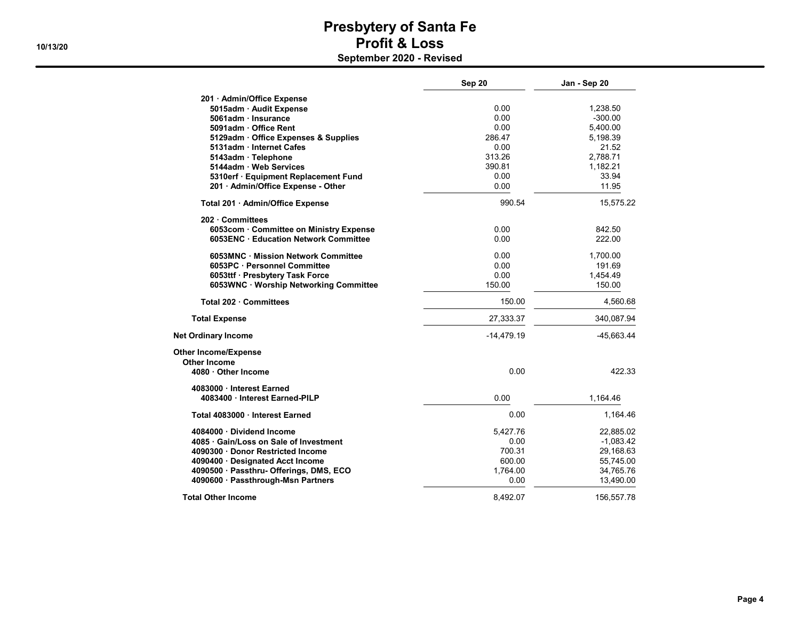|                                         | Sep 20       | Jan - Sep 20 |
|-----------------------------------------|--------------|--------------|
| 201 · Admin/Office Expense              |              |              |
| 5015adm · Audit Expense                 | 0.00         | 1,238.50     |
| 5061adm Insurance                       | 0.00         | $-300.00$    |
| 5091adm · Office Rent                   | 0.00         | 5,400.00     |
| 5129adm · Office Expenses & Supplies    | 286.47       | 5,198.39     |
| 5131adm Internet Cafes                  | 0.00         | 21.52        |
| 5143adm · Telephone                     | 313.26       | 2,788.71     |
| 5144adm · Web Services                  | 390.81       | 1,182.21     |
| 5310erf · Equipment Replacement Fund    | 0.00         | 33.94        |
| 201 · Admin/Office Expense - Other      | 0.00         | 11.95        |
| Total 201 · Admin/Office Expense        | 990.54       | 15,575.22    |
| 202 · Committees                        |              |              |
| 6053com · Committee on Ministry Expense | 0.00         | 842.50       |
| 6053ENC · Education Network Committee   | 0.00         | 222.00       |
| 6053MNC · Mission Network Committee     | 0.00         | 1,700.00     |
| 6053PC · Personnel Committee            | 0.00         | 191.69       |
| 6053ttf · Presbytery Task Force         | 0.00         | 1,454.49     |
| 6053WNC · Worship Networking Committee  | 150.00       | 150.00       |
| Total 202 Committees                    | 150.00       | 4,560.68     |
| <b>Total Expense</b>                    | 27,333.37    | 340,087.94   |
| <b>Net Ordinary Income</b>              | $-14,479.19$ | -45,663.44   |
| <b>Other Income/Expense</b>             |              |              |
| Other Income<br>4080 Other Income       | 0.00         | 422.33       |
| 4083000 Interest Earned                 |              |              |
| 4083400 · Interest Earned-PILP          | 0.00         | 1,164.46     |
| Total 4083000 Interest Earned           | 0.00         | 1,164.46     |
| 4084000 Dividend Income                 | 5,427.76     | 22,885.02    |
| 4085 Gain/Loss on Sale of Investment    | 0.00         | $-1,083.42$  |
| 4090300 Donor Restricted Income         | 700.31       | 29,168.63    |
| 4090400 · Designated Acct Income        | 600.00       | 55,745.00    |
| 4090500 · Passthru- Offerings, DMS, ECO | 1,764.00     | 34,765.76    |
| 4090600 · Passthrough-Msn Partners      | 0.00         | 13,490.00    |
| <b>Total Other Income</b>               | 8,492.07     | 156,557.78   |

Page 4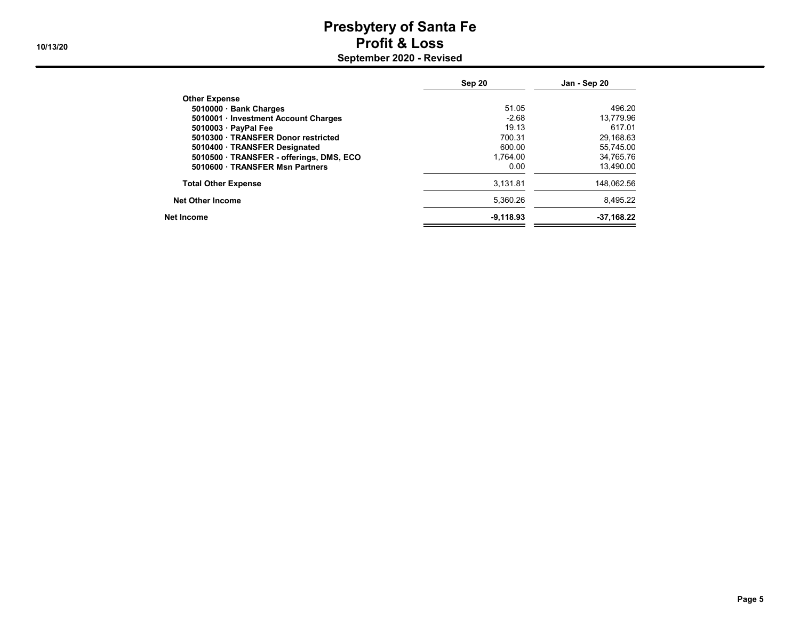|                                          | Sep 20      | Jan - Sep 20 |
|------------------------------------------|-------------|--------------|
| <b>Other Expense</b>                     |             |              |
| 5010000 · Bank Charges                   | 51.05       | 496.20       |
| 5010001 · Investment Account Charges     | $-2.68$     | 13,779.96    |
| 5010003 · PayPal Fee                     | 19.13       | 617.01       |
| 5010300 TRANSFER Donor restricted        | 700.31      | 29,168.63    |
| 5010400 · TRANSFER Designated            | 600.00      | 55.745.00    |
| 5010500 · TRANSFER - offerings, DMS, ECO | 1.764.00    | 34.765.76    |
| 5010600 · TRANSFER Msn Partners          | 0.00        | 13,490.00    |
| <b>Total Other Expense</b>               | 3.131.81    | 148.062.56   |
| <b>Net Other Income</b>                  | 5.360.26    | 8.495.22     |
| Net Income                               | $-9.118.93$ | $-37,168.22$ |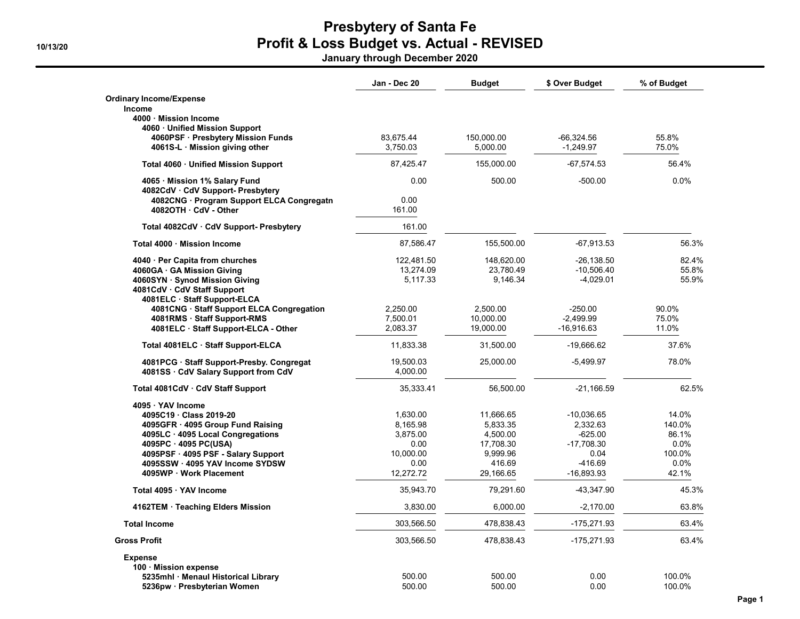January through December 2020

|                                                                        | Jan - Dec 20         | <b>Budget</b>          | \$ Over Budget           | % of Budget    |
|------------------------------------------------------------------------|----------------------|------------------------|--------------------------|----------------|
| <b>Ordinary Income/Expense</b>                                         |                      |                        |                          |                |
| Income                                                                 |                      |                        |                          |                |
| 4000 Mission Income                                                    |                      |                        |                          |                |
| 4060 · Unified Mission Support<br>4060PSF · Presbytery Mission Funds   | 83,675.44            | 150,000.00             | $-66,324.56$             | 55.8%          |
| 4061S-L · Mission giving other                                         | 3,750.03             | 5,000.00               | $-1,249.97$              | 75.0%          |
|                                                                        |                      |                        |                          |                |
| Total 4060 · Unified Mission Support                                   | 87.425.47            | 155,000.00             | $-67,574.53$             | 56.4%          |
| 4065 Mission 1% Salary Fund                                            | 0.00                 | 500.00                 | $-500.00$                | 0.0%           |
| 4082CdV · CdV Support- Presbytery                                      |                      |                        |                          |                |
| 4082CNG · Program Support ELCA Congregatn                              | 0.00                 |                        |                          |                |
| 4082OTH CdV - Other                                                    | 161.00               |                        |                          |                |
| Total 4082CdV · CdV Support- Presbytery                                | 161.00               |                        |                          |                |
| Total 4000 Mission Income                                              | 87,586.47            | 155,500.00             | $-67,913.53$             | 56.3%          |
| 4040 · Per Capita from churches                                        | 122,481.50           | 148,620.00             | $-26, 138.50$            | 82.4%          |
| 4060GA · GA Mission Giving                                             | 13,274.09            | 23,780.49              | $-10,506.40$             | 55.8%          |
| 4060SYN · Synod Mission Giving                                         | 5,117.33             | 9.146.34               | $-4,029.01$              | 55.9%          |
| 4081CdV · CdV Staff Support                                            |                      |                        |                          |                |
| 4081ELC · Staff Support-ELCA                                           |                      |                        |                          |                |
| 4081CNG · Staff Support ELCA Congregation                              | 2,250.00             | 2,500.00               | $-250.00$<br>$-2,499.99$ | 90.0%<br>75.0% |
| 4081RMS · Staff Support-RMS                                            | 7,500.01<br>2,083.37 | 10,000.00<br>19,000.00 | $-16,916.63$             | 11.0%          |
| 4081ELC · Staff Support-ELCA - Other                                   |                      |                        |                          |                |
| Total 4081ELC · Staff Support-ELCA                                     | 11,833.38            | 31,500.00              | -19,666.62               | 37.6%          |
| 4081PCG · Staff Support-Presby. Congregat                              | 19,500.03            | 25,000.00              | $-5,499.97$              | 78.0%          |
| 4081SS · CdV Salary Support from CdV                                   | 4,000.00             |                        |                          |                |
| Total 4081CdV · CdV Staff Support                                      | 35,333.41            | 56,500.00              | $-21,166.59$             | 62.5%          |
| 4095 · YAV Income                                                      |                      |                        |                          |                |
| 4095C19 Class 2019-20                                                  | 1.630.00             | 11,666.65              | $-10,036.65$             | 14.0%          |
| 4095GFR · 4095 Group Fund Raising                                      | 8,165.98             | 5,833.35               | 2,332.63                 | 140.0%         |
| 4095LC · 4095 Local Congregations                                      | 3,875.00             | 4,500.00               | -625.00                  | 86.1%          |
| 4095PC · 4095 PC(USA)                                                  | 0.00                 | 17,708.30              | -17,708.30               | 0.0%           |
| 4095PSF · 4095 PSF - Salary Support<br>4095SSW · 4095 YAV Income SYDSW | 10,000.00<br>0.00    | 9,999.96<br>416.69     | 0.04<br>-416.69          | 100.0%<br>0.0% |
| 4095WP · Work Placement                                                | 12,272.72            | 29,166.65              | -16,893.93               | 42.1%          |
| Total 4095 · YAV Income                                                | 35,943.70            | 79,291.60              | -43,347.90               | 45.3%          |
| 4162TEM · Teaching Elders Mission                                      | 3,830.00             | 6,000.00               | $-2,170.00$              | 63.8%          |
| <b>Total Income</b>                                                    | 303,566.50           | 478,838.43             | -175,271.93              | 63.4%          |
| <b>Gross Profit</b>                                                    |                      |                        |                          | 63.4%          |
|                                                                        | 303,566.50           | 478,838.43             | -175,271.93              |                |
| <b>Expense</b><br>100 · Mission expense                                |                      |                        |                          |                |
| 5235mhl · Menaul Historical Library                                    | 500.00               | 500.00                 | 0.00                     | 100.0%         |
| 5236pw · Presbyterian Women                                            | 500.00               | 500.00                 | 0.00                     | 100.0%         |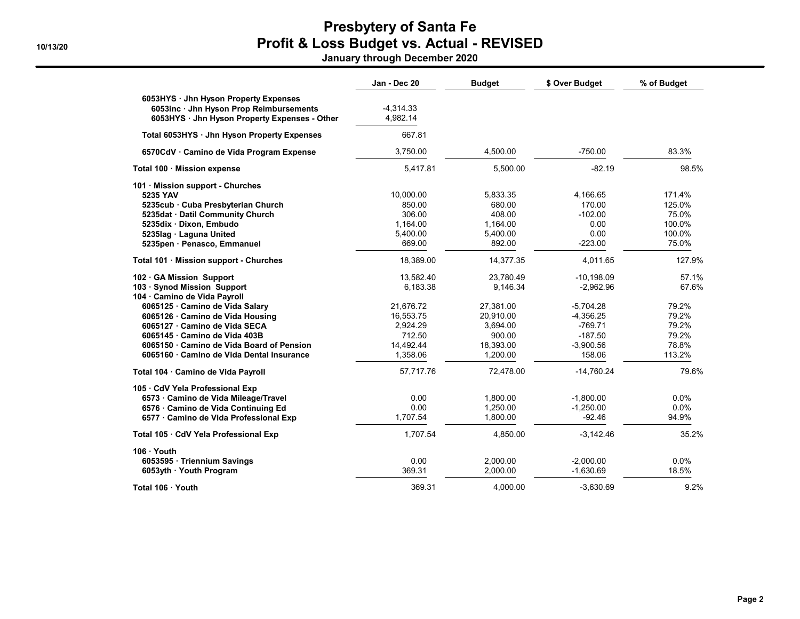January through December 2020

|                                                                                                                                   | Jan - Dec 20            | <b>Budget</b> | \$ Over Budget | % of Budget |
|-----------------------------------------------------------------------------------------------------------------------------------|-------------------------|---------------|----------------|-------------|
| 6053HYS · Jhn Hyson Property Expenses<br>6053inc · Jhn Hyson Prop Reimbursements<br>6053HYS · Jhn Hyson Property Expenses - Other | $-4,314.33$<br>4,982.14 |               |                |             |
| Total 6053HYS · Jhn Hyson Property Expenses                                                                                       | 667.81                  |               |                |             |
| 6570CdV · Camino de Vida Program Expense                                                                                          | 3,750.00                | 4,500.00      | $-750.00$      | 83.3%       |
| Total 100 · Mission expense                                                                                                       | 5,417.81                | 5,500.00      | $-82.19$       | 98.5%       |
| 101 · Mission support - Churches                                                                                                  |                         |               |                |             |
| 5235 YAV                                                                                                                          | 10,000.00               | 5,833.35      | 4,166.65       | 171.4%      |
| 5235cub · Cuba Presbyterian Church                                                                                                | 850.00                  | 680.00        | 170.00         | 125.0%      |
| 5235dat · Datil Community Church                                                                                                  | 306.00                  | 408.00        | $-102.00$      | 75.0%       |
| 5235dix · Dixon, Embudo                                                                                                           | 1,164.00                | 1,164.00      | 0.00           | 100.0%      |
| 5235lag · Laguna United                                                                                                           | 5.400.00                | 5,400.00      | 0.00           | 100.0%      |
| 5235pen · Penasco, Emmanuel                                                                                                       | 669.00                  | 892.00        | $-223.00$      | 75.0%       |
| Total 101 · Mission support - Churches                                                                                            | 18,389.00               | 14,377.35     | 4,011.65       | 127.9%      |
| 102 GA Mission Support                                                                                                            | 13,582.40               | 23,780.49     | $-10,198.09$   | 57.1%       |
| 103 · Synod Mission Support                                                                                                       | 6.183.38                | 9,146.34      | $-2,962.96$    | 67.6%       |
| 104 · Camino de Vida Payroll                                                                                                      |                         |               |                |             |
| 6065125 · Camino de Vida Salary                                                                                                   | 21,676.72               | 27,381.00     | $-5.704.28$    | 79.2%       |
| 6065126 · Camino de Vida Housing                                                                                                  | 16,553.75               | 20,910.00     | $-4,356.25$    | 79.2%       |
| 6065127 · Camino de Vida SECA                                                                                                     | 2,924.29                | 3,694.00      | $-769.71$      | 79.2%       |
| 6065145 Camino de Vida 403B                                                                                                       | 712.50                  | 900.00        | $-187.50$      | 79.2%       |
| 6065150 Camino de Vida Board of Pension                                                                                           | 14.492.44               | 18,393.00     | $-3,900.56$    | 78.8%       |
| 6065160 · Camino de Vida Dental Insurance                                                                                         | 1,358.06                | 1,200.00      | 158.06         | 113.2%      |
| Total 104 · Camino de Vida Payroll                                                                                                | 57,717.76               | 72,478.00     | $-14,760.24$   | 79.6%       |
| 105 · CdV Yela Professional Exp                                                                                                   |                         |               |                |             |
| 6573 · Camino de Vida Mileage/Travel                                                                                              | 0.00                    | 1,800.00      | $-1.800.00$    | $0.0\%$     |
| 6576 Camino de Vida Continuing Ed                                                                                                 | 0.00                    | 1,250.00      | $-1,250.00$    | $0.0\%$     |
| 6577 · Camino de Vida Professional Exp                                                                                            | 1,707.54                | 1,800.00      | $-92.46$       | 94.9%       |
| Total 105 · CdV Yela Professional Exp                                                                                             | 1,707.54                | 4,850.00      | $-3,142.46$    | 35.2%       |
| 106 · Youth                                                                                                                       |                         |               |                |             |
| 6053595 · Triennium Savings                                                                                                       | 0.00                    | 2,000.00      | $-2,000.00$    | 0.0%        |
| 6053yth · Youth Program                                                                                                           | 369.31                  | 2,000.00      | $-1,630.69$    | 18.5%       |
| Total 106 · Youth                                                                                                                 | 369.31                  | 4.000.00      | $-3,630.69$    | 9.2%        |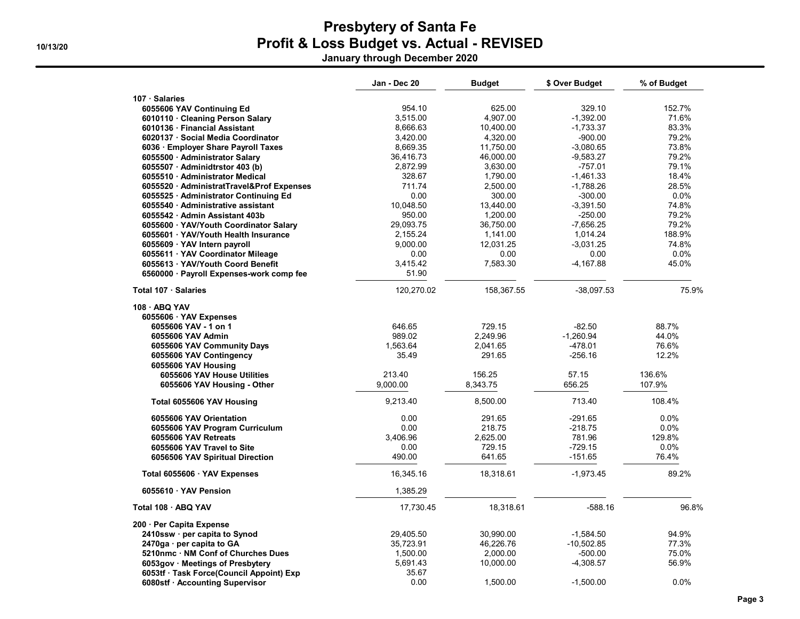January through December 2020

| 107 · Salaries<br>152.7%<br>954.10<br>625.00<br>329.10<br>6055606 YAV Continuing Ed<br>3,515.00<br>4,907.00<br>$-1,392.00$<br>71.6%<br>6010110 · Cleaning Person Salary<br>8,666.63<br>83.3%<br>6010136 · Financial Assistant<br>10,400.00<br>$-1,733.37$<br>79.2%<br>6020137 · Social Media Coordinator<br>3,420.00<br>4,320.00<br>$-900.00$<br>8,669.35<br>73.8%<br>6036 · Employer Share Payroll Taxes<br>11,750.00<br>$-3,080.65$<br>79.2%<br>6055500 · Administrator Salary<br>36,416.73<br>46,000.00<br>$-9,583.27$<br>3,630.00<br>$-757.01$<br>79.1%<br>6055507 · Adminidtrstor 403 (b)<br>2,872.99<br>328.67<br>$-1,461.33$<br>18.4%<br>6055510 Administrator Medical<br>1,790.00<br>28.5%<br>6055520 AdministratTravel&Prof Expenses<br>711.74<br>2,500.00<br>$-1,788.26$<br>0.0%<br>0.00<br>300.00<br>$-300.00$<br>6055525 · Administrator Continuing Ed<br>10,048.50<br>$-3,391.50$<br>74.8%<br>6055540 Administrative assistant<br>13,440.00<br>79.2%<br>950.00<br>-250.00<br>6055542 Admin Assistant 403b<br>1,200.00<br>29,093.75<br>$-7,656.25$<br>79.2%<br>36,750.00<br>6055600 YAV/Youth Coordinator Salary<br>188.9%<br>6055601 · YAV/Youth Health Insurance<br>2,155.24<br>1,141.00<br>1,014.24<br>9,000.00<br>12,031.25<br>$-3,031.25$<br>74.8%<br>6055609 · YAV Intern payroll<br>0.0%<br>6055611 · YAV Coordinator Mileage<br>0.00<br>0.00<br>0.00<br>3,415.42<br>7,583.30<br>$-4,167.88$<br>45.0%<br>6055613 YAV/Youth Coord Benefit<br>51.90<br>6560000 · Payroll Expenses-work comp fee<br>120,270.02<br>158,367.55<br>$-38,097.53$<br>75.9%<br>Total 107 · Salaries<br>108 · ABQ YAV<br>6055606 YAV Expenses<br>646.65<br>729.15<br>$-82.50$<br>88.7%<br>6055606 YAV - 1 on 1<br>989.02<br>2,249.96<br>$-1,260.94$<br>44.0%<br>6055606 YAV Admin<br>1,563.64<br>2,041.65<br>-478.01<br>76.6%<br>6055606 YAV Community Days<br>35.49<br>291.65<br>$-256.16$<br>12.2%<br>6055606 YAV Contingency<br>6055606 YAV Housing<br>57.15<br>136.6%<br>6055606 YAV House Utilities<br>213.40<br>156.25<br>107.9%<br>9,000.00<br>8,343.75<br>656.25<br>6055606 YAV Housing - Other<br>9,213.40<br>8,500.00<br>713.40<br>108.4%<br>Total 6055606 YAV Housing<br>0.00<br>291.65<br>$-291.65$<br>0.0%<br>6055606 YAV Orientation<br>0.00<br>$-218.75$<br>218.75<br>0.0%<br>6055606 YAV Program Curriculum<br>3,406.96<br>2,625.00<br>781.96<br>129.8%<br>6055606 YAV Retreats<br>729.15<br>$-729.15$<br>0.0%<br>6055606 YAV Travel to Site<br>0.00<br>490.00<br>76.4%<br>641.65<br>-151.65<br>6056506 YAV Spiritual Direction<br>89.2%<br>$-1,973.45$<br>16,345.16<br>18,318.61<br>Total 6055606 · YAV Expenses<br>1,385.29<br>6055610 YAV Pension<br>18,318.61<br>$-588.16$<br>96.8%<br>Total 108 · ABQ YAV<br>17,730.45<br>200 · Per Capita Expense<br>94.9%<br>2410ssw · per capita to Synod<br>29,405.50<br>30,990.00<br>$-1,584.50$<br>77.3%<br>2470ga · per capita to GA<br>35,723.91<br>46,226.76<br>$-10,502.85$<br>5210nmc · NM Conf of Churches Dues<br>1,500.00<br>2,000.00<br>-500.00<br>75.0%<br>56.9%<br>5,691.43<br>10,000.00<br>6053gov · Meetings of Presbytery<br>-4,308.57<br>35.67<br>6053tf · Task Force(Council Appoint) Exp<br>0.0%<br>6080stf · Accounting Supervisor<br>0.00<br>1,500.00<br>$-1,500.00$ | Jan - Dec 20 | <b>Budget</b> | \$ Over Budget | % of Budget |
|---------------------------------------------------------------------------------------------------------------------------------------------------------------------------------------------------------------------------------------------------------------------------------------------------------------------------------------------------------------------------------------------------------------------------------------------------------------------------------------------------------------------------------------------------------------------------------------------------------------------------------------------------------------------------------------------------------------------------------------------------------------------------------------------------------------------------------------------------------------------------------------------------------------------------------------------------------------------------------------------------------------------------------------------------------------------------------------------------------------------------------------------------------------------------------------------------------------------------------------------------------------------------------------------------------------------------------------------------------------------------------------------------------------------------------------------------------------------------------------------------------------------------------------------------------------------------------------------------------------------------------------------------------------------------------------------------------------------------------------------------------------------------------------------------------------------------------------------------------------------------------------------------------------------------------------------------------------------------------------------------------------------------------------------------------------------------------------------------------------------------------------------------------------------------------------------------------------------------------------------------------------------------------------------------------------------------------------------------------------------------------------------------------------------------------------------------------------------------------------------------------------------------------------------------------------------------------------------------------------------------------------------------------------------------------------------------------------------------------------------------------------------------------------------------------------------------------------------------------------------------------------------------------------------------------------------------------------------------------------------------------------------------------------------------------------------------------------------------------------------------------------------------------------------------------------------------------------------------------------------|--------------|---------------|----------------|-------------|
|                                                                                                                                                                                                                                                                                                                                                                                                                                                                                                                                                                                                                                                                                                                                                                                                                                                                                                                                                                                                                                                                                                                                                                                                                                                                                                                                                                                                                                                                                                                                                                                                                                                                                                                                                                                                                                                                                                                                                                                                                                                                                                                                                                                                                                                                                                                                                                                                                                                                                                                                                                                                                                                                                                                                                                                                                                                                                                                                                                                                                                                                                                                                                                                                                                             |              |               |                |             |
|                                                                                                                                                                                                                                                                                                                                                                                                                                                                                                                                                                                                                                                                                                                                                                                                                                                                                                                                                                                                                                                                                                                                                                                                                                                                                                                                                                                                                                                                                                                                                                                                                                                                                                                                                                                                                                                                                                                                                                                                                                                                                                                                                                                                                                                                                                                                                                                                                                                                                                                                                                                                                                                                                                                                                                                                                                                                                                                                                                                                                                                                                                                                                                                                                                             |              |               |                |             |
|                                                                                                                                                                                                                                                                                                                                                                                                                                                                                                                                                                                                                                                                                                                                                                                                                                                                                                                                                                                                                                                                                                                                                                                                                                                                                                                                                                                                                                                                                                                                                                                                                                                                                                                                                                                                                                                                                                                                                                                                                                                                                                                                                                                                                                                                                                                                                                                                                                                                                                                                                                                                                                                                                                                                                                                                                                                                                                                                                                                                                                                                                                                                                                                                                                             |              |               |                |             |
|                                                                                                                                                                                                                                                                                                                                                                                                                                                                                                                                                                                                                                                                                                                                                                                                                                                                                                                                                                                                                                                                                                                                                                                                                                                                                                                                                                                                                                                                                                                                                                                                                                                                                                                                                                                                                                                                                                                                                                                                                                                                                                                                                                                                                                                                                                                                                                                                                                                                                                                                                                                                                                                                                                                                                                                                                                                                                                                                                                                                                                                                                                                                                                                                                                             |              |               |                |             |
|                                                                                                                                                                                                                                                                                                                                                                                                                                                                                                                                                                                                                                                                                                                                                                                                                                                                                                                                                                                                                                                                                                                                                                                                                                                                                                                                                                                                                                                                                                                                                                                                                                                                                                                                                                                                                                                                                                                                                                                                                                                                                                                                                                                                                                                                                                                                                                                                                                                                                                                                                                                                                                                                                                                                                                                                                                                                                                                                                                                                                                                                                                                                                                                                                                             |              |               |                |             |
|                                                                                                                                                                                                                                                                                                                                                                                                                                                                                                                                                                                                                                                                                                                                                                                                                                                                                                                                                                                                                                                                                                                                                                                                                                                                                                                                                                                                                                                                                                                                                                                                                                                                                                                                                                                                                                                                                                                                                                                                                                                                                                                                                                                                                                                                                                                                                                                                                                                                                                                                                                                                                                                                                                                                                                                                                                                                                                                                                                                                                                                                                                                                                                                                                                             |              |               |                |             |
|                                                                                                                                                                                                                                                                                                                                                                                                                                                                                                                                                                                                                                                                                                                                                                                                                                                                                                                                                                                                                                                                                                                                                                                                                                                                                                                                                                                                                                                                                                                                                                                                                                                                                                                                                                                                                                                                                                                                                                                                                                                                                                                                                                                                                                                                                                                                                                                                                                                                                                                                                                                                                                                                                                                                                                                                                                                                                                                                                                                                                                                                                                                                                                                                                                             |              |               |                |             |
|                                                                                                                                                                                                                                                                                                                                                                                                                                                                                                                                                                                                                                                                                                                                                                                                                                                                                                                                                                                                                                                                                                                                                                                                                                                                                                                                                                                                                                                                                                                                                                                                                                                                                                                                                                                                                                                                                                                                                                                                                                                                                                                                                                                                                                                                                                                                                                                                                                                                                                                                                                                                                                                                                                                                                                                                                                                                                                                                                                                                                                                                                                                                                                                                                                             |              |               |                |             |
|                                                                                                                                                                                                                                                                                                                                                                                                                                                                                                                                                                                                                                                                                                                                                                                                                                                                                                                                                                                                                                                                                                                                                                                                                                                                                                                                                                                                                                                                                                                                                                                                                                                                                                                                                                                                                                                                                                                                                                                                                                                                                                                                                                                                                                                                                                                                                                                                                                                                                                                                                                                                                                                                                                                                                                                                                                                                                                                                                                                                                                                                                                                                                                                                                                             |              |               |                |             |
|                                                                                                                                                                                                                                                                                                                                                                                                                                                                                                                                                                                                                                                                                                                                                                                                                                                                                                                                                                                                                                                                                                                                                                                                                                                                                                                                                                                                                                                                                                                                                                                                                                                                                                                                                                                                                                                                                                                                                                                                                                                                                                                                                                                                                                                                                                                                                                                                                                                                                                                                                                                                                                                                                                                                                                                                                                                                                                                                                                                                                                                                                                                                                                                                                                             |              |               |                |             |
|                                                                                                                                                                                                                                                                                                                                                                                                                                                                                                                                                                                                                                                                                                                                                                                                                                                                                                                                                                                                                                                                                                                                                                                                                                                                                                                                                                                                                                                                                                                                                                                                                                                                                                                                                                                                                                                                                                                                                                                                                                                                                                                                                                                                                                                                                                                                                                                                                                                                                                                                                                                                                                                                                                                                                                                                                                                                                                                                                                                                                                                                                                                                                                                                                                             |              |               |                |             |
|                                                                                                                                                                                                                                                                                                                                                                                                                                                                                                                                                                                                                                                                                                                                                                                                                                                                                                                                                                                                                                                                                                                                                                                                                                                                                                                                                                                                                                                                                                                                                                                                                                                                                                                                                                                                                                                                                                                                                                                                                                                                                                                                                                                                                                                                                                                                                                                                                                                                                                                                                                                                                                                                                                                                                                                                                                                                                                                                                                                                                                                                                                                                                                                                                                             |              |               |                |             |
|                                                                                                                                                                                                                                                                                                                                                                                                                                                                                                                                                                                                                                                                                                                                                                                                                                                                                                                                                                                                                                                                                                                                                                                                                                                                                                                                                                                                                                                                                                                                                                                                                                                                                                                                                                                                                                                                                                                                                                                                                                                                                                                                                                                                                                                                                                                                                                                                                                                                                                                                                                                                                                                                                                                                                                                                                                                                                                                                                                                                                                                                                                                                                                                                                                             |              |               |                |             |
|                                                                                                                                                                                                                                                                                                                                                                                                                                                                                                                                                                                                                                                                                                                                                                                                                                                                                                                                                                                                                                                                                                                                                                                                                                                                                                                                                                                                                                                                                                                                                                                                                                                                                                                                                                                                                                                                                                                                                                                                                                                                                                                                                                                                                                                                                                                                                                                                                                                                                                                                                                                                                                                                                                                                                                                                                                                                                                                                                                                                                                                                                                                                                                                                                                             |              |               |                |             |
|                                                                                                                                                                                                                                                                                                                                                                                                                                                                                                                                                                                                                                                                                                                                                                                                                                                                                                                                                                                                                                                                                                                                                                                                                                                                                                                                                                                                                                                                                                                                                                                                                                                                                                                                                                                                                                                                                                                                                                                                                                                                                                                                                                                                                                                                                                                                                                                                                                                                                                                                                                                                                                                                                                                                                                                                                                                                                                                                                                                                                                                                                                                                                                                                                                             |              |               |                |             |
|                                                                                                                                                                                                                                                                                                                                                                                                                                                                                                                                                                                                                                                                                                                                                                                                                                                                                                                                                                                                                                                                                                                                                                                                                                                                                                                                                                                                                                                                                                                                                                                                                                                                                                                                                                                                                                                                                                                                                                                                                                                                                                                                                                                                                                                                                                                                                                                                                                                                                                                                                                                                                                                                                                                                                                                                                                                                                                                                                                                                                                                                                                                                                                                                                                             |              |               |                |             |
|                                                                                                                                                                                                                                                                                                                                                                                                                                                                                                                                                                                                                                                                                                                                                                                                                                                                                                                                                                                                                                                                                                                                                                                                                                                                                                                                                                                                                                                                                                                                                                                                                                                                                                                                                                                                                                                                                                                                                                                                                                                                                                                                                                                                                                                                                                                                                                                                                                                                                                                                                                                                                                                                                                                                                                                                                                                                                                                                                                                                                                                                                                                                                                                                                                             |              |               |                |             |
|                                                                                                                                                                                                                                                                                                                                                                                                                                                                                                                                                                                                                                                                                                                                                                                                                                                                                                                                                                                                                                                                                                                                                                                                                                                                                                                                                                                                                                                                                                                                                                                                                                                                                                                                                                                                                                                                                                                                                                                                                                                                                                                                                                                                                                                                                                                                                                                                                                                                                                                                                                                                                                                                                                                                                                                                                                                                                                                                                                                                                                                                                                                                                                                                                                             |              |               |                |             |
|                                                                                                                                                                                                                                                                                                                                                                                                                                                                                                                                                                                                                                                                                                                                                                                                                                                                                                                                                                                                                                                                                                                                                                                                                                                                                                                                                                                                                                                                                                                                                                                                                                                                                                                                                                                                                                                                                                                                                                                                                                                                                                                                                                                                                                                                                                                                                                                                                                                                                                                                                                                                                                                                                                                                                                                                                                                                                                                                                                                                                                                                                                                                                                                                                                             |              |               |                |             |
|                                                                                                                                                                                                                                                                                                                                                                                                                                                                                                                                                                                                                                                                                                                                                                                                                                                                                                                                                                                                                                                                                                                                                                                                                                                                                                                                                                                                                                                                                                                                                                                                                                                                                                                                                                                                                                                                                                                                                                                                                                                                                                                                                                                                                                                                                                                                                                                                                                                                                                                                                                                                                                                                                                                                                                                                                                                                                                                                                                                                                                                                                                                                                                                                                                             |              |               |                |             |
|                                                                                                                                                                                                                                                                                                                                                                                                                                                                                                                                                                                                                                                                                                                                                                                                                                                                                                                                                                                                                                                                                                                                                                                                                                                                                                                                                                                                                                                                                                                                                                                                                                                                                                                                                                                                                                                                                                                                                                                                                                                                                                                                                                                                                                                                                                                                                                                                                                                                                                                                                                                                                                                                                                                                                                                                                                                                                                                                                                                                                                                                                                                                                                                                                                             |              |               |                |             |
|                                                                                                                                                                                                                                                                                                                                                                                                                                                                                                                                                                                                                                                                                                                                                                                                                                                                                                                                                                                                                                                                                                                                                                                                                                                                                                                                                                                                                                                                                                                                                                                                                                                                                                                                                                                                                                                                                                                                                                                                                                                                                                                                                                                                                                                                                                                                                                                                                                                                                                                                                                                                                                                                                                                                                                                                                                                                                                                                                                                                                                                                                                                                                                                                                                             |              |               |                |             |
|                                                                                                                                                                                                                                                                                                                                                                                                                                                                                                                                                                                                                                                                                                                                                                                                                                                                                                                                                                                                                                                                                                                                                                                                                                                                                                                                                                                                                                                                                                                                                                                                                                                                                                                                                                                                                                                                                                                                                                                                                                                                                                                                                                                                                                                                                                                                                                                                                                                                                                                                                                                                                                                                                                                                                                                                                                                                                                                                                                                                                                                                                                                                                                                                                                             |              |               |                |             |
|                                                                                                                                                                                                                                                                                                                                                                                                                                                                                                                                                                                                                                                                                                                                                                                                                                                                                                                                                                                                                                                                                                                                                                                                                                                                                                                                                                                                                                                                                                                                                                                                                                                                                                                                                                                                                                                                                                                                                                                                                                                                                                                                                                                                                                                                                                                                                                                                                                                                                                                                                                                                                                                                                                                                                                                                                                                                                                                                                                                                                                                                                                                                                                                                                                             |              |               |                |             |
|                                                                                                                                                                                                                                                                                                                                                                                                                                                                                                                                                                                                                                                                                                                                                                                                                                                                                                                                                                                                                                                                                                                                                                                                                                                                                                                                                                                                                                                                                                                                                                                                                                                                                                                                                                                                                                                                                                                                                                                                                                                                                                                                                                                                                                                                                                                                                                                                                                                                                                                                                                                                                                                                                                                                                                                                                                                                                                                                                                                                                                                                                                                                                                                                                                             |              |               |                |             |
|                                                                                                                                                                                                                                                                                                                                                                                                                                                                                                                                                                                                                                                                                                                                                                                                                                                                                                                                                                                                                                                                                                                                                                                                                                                                                                                                                                                                                                                                                                                                                                                                                                                                                                                                                                                                                                                                                                                                                                                                                                                                                                                                                                                                                                                                                                                                                                                                                                                                                                                                                                                                                                                                                                                                                                                                                                                                                                                                                                                                                                                                                                                                                                                                                                             |              |               |                |             |
|                                                                                                                                                                                                                                                                                                                                                                                                                                                                                                                                                                                                                                                                                                                                                                                                                                                                                                                                                                                                                                                                                                                                                                                                                                                                                                                                                                                                                                                                                                                                                                                                                                                                                                                                                                                                                                                                                                                                                                                                                                                                                                                                                                                                                                                                                                                                                                                                                                                                                                                                                                                                                                                                                                                                                                                                                                                                                                                                                                                                                                                                                                                                                                                                                                             |              |               |                |             |
|                                                                                                                                                                                                                                                                                                                                                                                                                                                                                                                                                                                                                                                                                                                                                                                                                                                                                                                                                                                                                                                                                                                                                                                                                                                                                                                                                                                                                                                                                                                                                                                                                                                                                                                                                                                                                                                                                                                                                                                                                                                                                                                                                                                                                                                                                                                                                                                                                                                                                                                                                                                                                                                                                                                                                                                                                                                                                                                                                                                                                                                                                                                                                                                                                                             |              |               |                |             |
|                                                                                                                                                                                                                                                                                                                                                                                                                                                                                                                                                                                                                                                                                                                                                                                                                                                                                                                                                                                                                                                                                                                                                                                                                                                                                                                                                                                                                                                                                                                                                                                                                                                                                                                                                                                                                                                                                                                                                                                                                                                                                                                                                                                                                                                                                                                                                                                                                                                                                                                                                                                                                                                                                                                                                                                                                                                                                                                                                                                                                                                                                                                                                                                                                                             |              |               |                |             |
|                                                                                                                                                                                                                                                                                                                                                                                                                                                                                                                                                                                                                                                                                                                                                                                                                                                                                                                                                                                                                                                                                                                                                                                                                                                                                                                                                                                                                                                                                                                                                                                                                                                                                                                                                                                                                                                                                                                                                                                                                                                                                                                                                                                                                                                                                                                                                                                                                                                                                                                                                                                                                                                                                                                                                                                                                                                                                                                                                                                                                                                                                                                                                                                                                                             |              |               |                |             |
|                                                                                                                                                                                                                                                                                                                                                                                                                                                                                                                                                                                                                                                                                                                                                                                                                                                                                                                                                                                                                                                                                                                                                                                                                                                                                                                                                                                                                                                                                                                                                                                                                                                                                                                                                                                                                                                                                                                                                                                                                                                                                                                                                                                                                                                                                                                                                                                                                                                                                                                                                                                                                                                                                                                                                                                                                                                                                                                                                                                                                                                                                                                                                                                                                                             |              |               |                |             |
|                                                                                                                                                                                                                                                                                                                                                                                                                                                                                                                                                                                                                                                                                                                                                                                                                                                                                                                                                                                                                                                                                                                                                                                                                                                                                                                                                                                                                                                                                                                                                                                                                                                                                                                                                                                                                                                                                                                                                                                                                                                                                                                                                                                                                                                                                                                                                                                                                                                                                                                                                                                                                                                                                                                                                                                                                                                                                                                                                                                                                                                                                                                                                                                                                                             |              |               |                |             |
|                                                                                                                                                                                                                                                                                                                                                                                                                                                                                                                                                                                                                                                                                                                                                                                                                                                                                                                                                                                                                                                                                                                                                                                                                                                                                                                                                                                                                                                                                                                                                                                                                                                                                                                                                                                                                                                                                                                                                                                                                                                                                                                                                                                                                                                                                                                                                                                                                                                                                                                                                                                                                                                                                                                                                                                                                                                                                                                                                                                                                                                                                                                                                                                                                                             |              |               |                |             |
|                                                                                                                                                                                                                                                                                                                                                                                                                                                                                                                                                                                                                                                                                                                                                                                                                                                                                                                                                                                                                                                                                                                                                                                                                                                                                                                                                                                                                                                                                                                                                                                                                                                                                                                                                                                                                                                                                                                                                                                                                                                                                                                                                                                                                                                                                                                                                                                                                                                                                                                                                                                                                                                                                                                                                                                                                                                                                                                                                                                                                                                                                                                                                                                                                                             |              |               |                |             |
|                                                                                                                                                                                                                                                                                                                                                                                                                                                                                                                                                                                                                                                                                                                                                                                                                                                                                                                                                                                                                                                                                                                                                                                                                                                                                                                                                                                                                                                                                                                                                                                                                                                                                                                                                                                                                                                                                                                                                                                                                                                                                                                                                                                                                                                                                                                                                                                                                                                                                                                                                                                                                                                                                                                                                                                                                                                                                                                                                                                                                                                                                                                                                                                                                                             |              |               |                |             |
|                                                                                                                                                                                                                                                                                                                                                                                                                                                                                                                                                                                                                                                                                                                                                                                                                                                                                                                                                                                                                                                                                                                                                                                                                                                                                                                                                                                                                                                                                                                                                                                                                                                                                                                                                                                                                                                                                                                                                                                                                                                                                                                                                                                                                                                                                                                                                                                                                                                                                                                                                                                                                                                                                                                                                                                                                                                                                                                                                                                                                                                                                                                                                                                                                                             |              |               |                |             |
|                                                                                                                                                                                                                                                                                                                                                                                                                                                                                                                                                                                                                                                                                                                                                                                                                                                                                                                                                                                                                                                                                                                                                                                                                                                                                                                                                                                                                                                                                                                                                                                                                                                                                                                                                                                                                                                                                                                                                                                                                                                                                                                                                                                                                                                                                                                                                                                                                                                                                                                                                                                                                                                                                                                                                                                                                                                                                                                                                                                                                                                                                                                                                                                                                                             |              |               |                |             |
|                                                                                                                                                                                                                                                                                                                                                                                                                                                                                                                                                                                                                                                                                                                                                                                                                                                                                                                                                                                                                                                                                                                                                                                                                                                                                                                                                                                                                                                                                                                                                                                                                                                                                                                                                                                                                                                                                                                                                                                                                                                                                                                                                                                                                                                                                                                                                                                                                                                                                                                                                                                                                                                                                                                                                                                                                                                                                                                                                                                                                                                                                                                                                                                                                                             |              |               |                |             |
|                                                                                                                                                                                                                                                                                                                                                                                                                                                                                                                                                                                                                                                                                                                                                                                                                                                                                                                                                                                                                                                                                                                                                                                                                                                                                                                                                                                                                                                                                                                                                                                                                                                                                                                                                                                                                                                                                                                                                                                                                                                                                                                                                                                                                                                                                                                                                                                                                                                                                                                                                                                                                                                                                                                                                                                                                                                                                                                                                                                                                                                                                                                                                                                                                                             |              |               |                |             |
|                                                                                                                                                                                                                                                                                                                                                                                                                                                                                                                                                                                                                                                                                                                                                                                                                                                                                                                                                                                                                                                                                                                                                                                                                                                                                                                                                                                                                                                                                                                                                                                                                                                                                                                                                                                                                                                                                                                                                                                                                                                                                                                                                                                                                                                                                                                                                                                                                                                                                                                                                                                                                                                                                                                                                                                                                                                                                                                                                                                                                                                                                                                                                                                                                                             |              |               |                |             |
|                                                                                                                                                                                                                                                                                                                                                                                                                                                                                                                                                                                                                                                                                                                                                                                                                                                                                                                                                                                                                                                                                                                                                                                                                                                                                                                                                                                                                                                                                                                                                                                                                                                                                                                                                                                                                                                                                                                                                                                                                                                                                                                                                                                                                                                                                                                                                                                                                                                                                                                                                                                                                                                                                                                                                                                                                                                                                                                                                                                                                                                                                                                                                                                                                                             |              |               |                |             |
|                                                                                                                                                                                                                                                                                                                                                                                                                                                                                                                                                                                                                                                                                                                                                                                                                                                                                                                                                                                                                                                                                                                                                                                                                                                                                                                                                                                                                                                                                                                                                                                                                                                                                                                                                                                                                                                                                                                                                                                                                                                                                                                                                                                                                                                                                                                                                                                                                                                                                                                                                                                                                                                                                                                                                                                                                                                                                                                                                                                                                                                                                                                                                                                                                                             |              |               |                |             |
|                                                                                                                                                                                                                                                                                                                                                                                                                                                                                                                                                                                                                                                                                                                                                                                                                                                                                                                                                                                                                                                                                                                                                                                                                                                                                                                                                                                                                                                                                                                                                                                                                                                                                                                                                                                                                                                                                                                                                                                                                                                                                                                                                                                                                                                                                                                                                                                                                                                                                                                                                                                                                                                                                                                                                                                                                                                                                                                                                                                                                                                                                                                                                                                                                                             |              |               |                |             |
|                                                                                                                                                                                                                                                                                                                                                                                                                                                                                                                                                                                                                                                                                                                                                                                                                                                                                                                                                                                                                                                                                                                                                                                                                                                                                                                                                                                                                                                                                                                                                                                                                                                                                                                                                                                                                                                                                                                                                                                                                                                                                                                                                                                                                                                                                                                                                                                                                                                                                                                                                                                                                                                                                                                                                                                                                                                                                                                                                                                                                                                                                                                                                                                                                                             |              |               |                |             |
|                                                                                                                                                                                                                                                                                                                                                                                                                                                                                                                                                                                                                                                                                                                                                                                                                                                                                                                                                                                                                                                                                                                                                                                                                                                                                                                                                                                                                                                                                                                                                                                                                                                                                                                                                                                                                                                                                                                                                                                                                                                                                                                                                                                                                                                                                                                                                                                                                                                                                                                                                                                                                                                                                                                                                                                                                                                                                                                                                                                                                                                                                                                                                                                                                                             |              |               |                |             |
|                                                                                                                                                                                                                                                                                                                                                                                                                                                                                                                                                                                                                                                                                                                                                                                                                                                                                                                                                                                                                                                                                                                                                                                                                                                                                                                                                                                                                                                                                                                                                                                                                                                                                                                                                                                                                                                                                                                                                                                                                                                                                                                                                                                                                                                                                                                                                                                                                                                                                                                                                                                                                                                                                                                                                                                                                                                                                                                                                                                                                                                                                                                                                                                                                                             |              |               |                |             |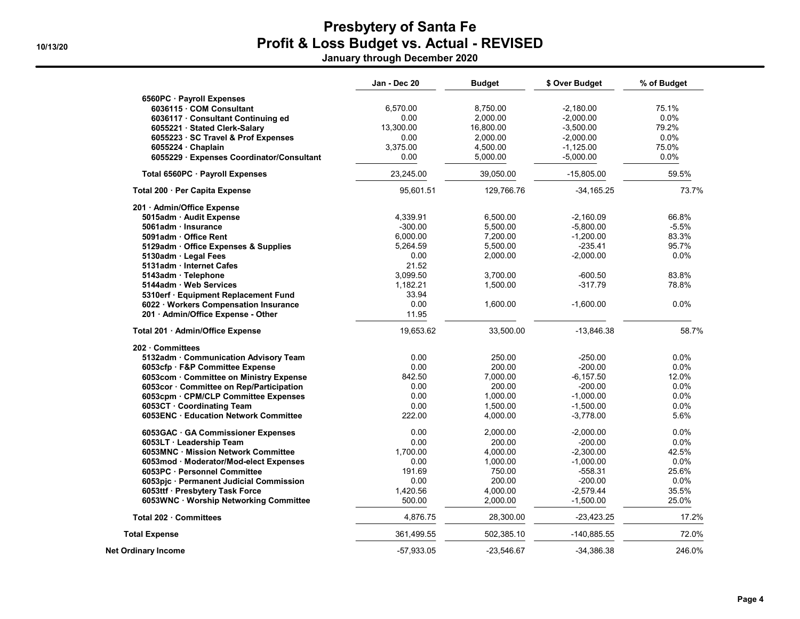January through December 2020

|                                           | Jan - Dec 20 | <b>Budget</b> | \$ Over Budget | % of Budget |
|-------------------------------------------|--------------|---------------|----------------|-------------|
| 6560PC · Payroll Expenses                 |              |               |                |             |
| 6036115 · COM Consultant                  | 6,570.00     | 8,750.00      | $-2,180.00$    | 75.1%       |
| 6036117 · Consultant Continuing ed        | 0.00         | 2,000.00      | $-2,000.00$    | $0.0\%$     |
| 6055221 · Stated Clerk-Salary             | 13,300.00    | 16,800.00     | $-3,500.00$    | 79.2%       |
| 6055223 · SC Travel & Prof Expenses       | 0.00         | 2,000.00      | $-2,000.00$    | $0.0\%$     |
| 6055224 · Chaplain                        | 3,375.00     | 4,500.00      | $-1,125.00$    | 75.0%       |
| 6055229 · Expenses Coordinator/Consultant | 0.00         | 5,000.00      | $-5,000.00$    | 0.0%        |
| Total 6560PC · Payroll Expenses           | 23,245.00    | 39,050.00     | $-15,805.00$   | 59.5%       |
| Total 200 · Per Capita Expense            | 95,601.51    | 129,766.76    | $-34, 165.25$  | 73.7%       |
| 201 · Admin/Office Expense                |              |               |                |             |
| 5015adm · Audit Expense                   | 4,339.91     | 6,500.00      | $-2,160.09$    | 66.8%       |
| 5061adm · Insurance                       | $-300.00$    | 5,500.00      | $-5,800.00$    | $-5.5%$     |
| 5091adm · Office Rent                     | 6.000.00     | 7,200.00      | $-1,200.00$    | 83.3%       |
| 5129adm · Office Expenses & Supplies      | 5.264.59     | 5,500.00      | $-235.41$      | 95.7%       |
| 5130adm · Legal Fees                      | 0.00         | 2,000.00      | $-2,000.00$    | 0.0%        |
| 5131adm · Internet Cafes                  | 21.52        |               |                |             |
| 5143adm · Telephone                       | 3.099.50     | 3,700.00      | $-600.50$      | 83.8%       |
| 5144adm · Web Services                    | 1,182.21     | 1,500.00      | $-317.79$      | 78.8%       |
| 5310erf · Equipment Replacement Fund      | 33.94        |               |                |             |
| 6022 · Workers Compensation Insurance     | 0.00         | 1,600.00      | $-1,600.00$    | $0.0\%$     |
| 201 · Admin/Office Expense - Other        | 11.95        |               |                |             |
| Total 201 · Admin/Office Expense          | 19,653.62    | 33,500.00     | $-13,846.38$   | 58.7%       |
| 202 Committees                            |              |               |                |             |
| 5132adm · Communication Advisory Team     | 0.00         | 250.00        | $-250.00$      | $0.0\%$     |
| 6053cfp · F&P Committee Expense           | 0.00         | 200.00        | $-200.00$      | $0.0\%$     |
| 6053com · Committee on Ministry Expense   | 842.50       | 7.000.00      | $-6.157.50$    | 12.0%       |
| 6053cor · Committee on Rep/Participation  | 0.00         | 200.00        | -200.00        | 0.0%        |
| 6053cpm · CPM/CLP Committee Expenses      | 0.00         | 1,000.00      | $-1,000.00$    | 0.0%        |
| 6053CT · Coordinating Team                | 0.00         | 1.500.00      | $-1.500.00$    | 0.0%        |
| 6053ENC Education Network Committee       | 222.00       | 4,000.00      | $-3,778.00$    | 5.6%        |
| 6053GAC · GA Commissioner Expenses        | 0.00         | 2,000.00      | $-2,000.00$    | $0.0\%$     |
| 6053LT · Leadership Team                  | 0.00         | 200.00        | -200.00        | 0.0%        |
| 6053MNC · Mission Network Committee       | 1,700.00     | 4,000.00      | $-2,300.00$    | 42.5%       |
| 6053mod · Moderator/Mod-elect Expenses    | 0.00         | 1,000.00      | $-1,000.00$    | 0.0%        |
| 6053PC · Personnel Committee              | 191.69       | 750.00        | -558.31        | 25.6%       |
| 6053pjc · Permanent Judicial Commission   | 0.00         | 200.00        | $-200.00$      | 0.0%        |
| 6053ttf · Presbytery Task Force           | 1,420.56     | 4,000.00      | $-2,579.44$    | 35.5%       |
| 6053WNC · Worship Networking Committee    | 500.00       | 2,000.00      | $-1,500.00$    | 25.0%       |
| Total 202 Committees                      | 4,876.75     | 28,300.00     | -23,423.25     | 17.2%       |
| <b>Total Expense</b>                      | 361,499.55   | 502,385.10    | -140,885.55    | 72.0%       |
| Net Ordinary Income                       | $-57,933.05$ | $-23.546.67$  | -34,386.38     | 246.0%      |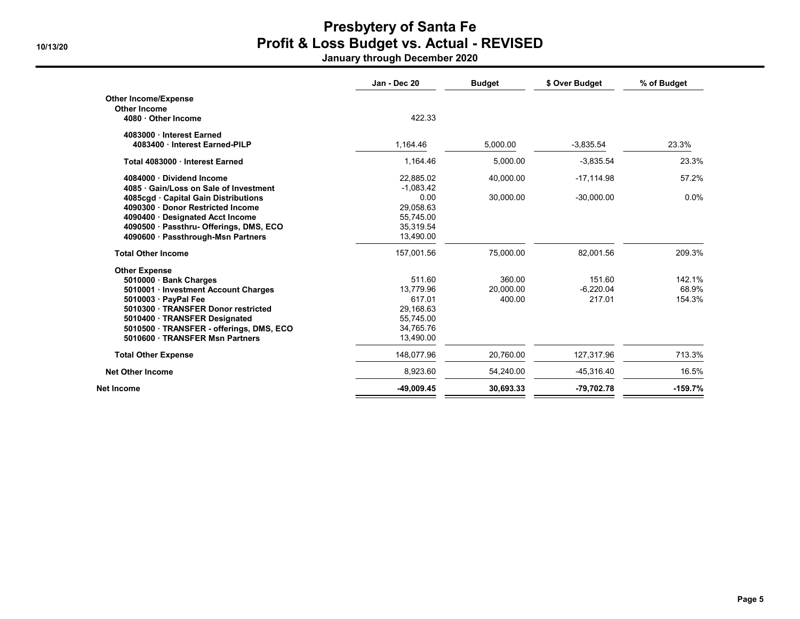January through December 2020

|                                         | Jan - Dec 20 | <b>Budget</b> | \$ Over Budget | % of Budget |
|-----------------------------------------|--------------|---------------|----------------|-------------|
| <b>Other Income/Expense</b>             |              |               |                |             |
| <b>Other Income</b>                     |              |               |                |             |
| 4080 · Other Income                     | 422.33       |               |                |             |
| 4083000 Interest Earned                 |              |               |                |             |
| 4083400 · Interest Earned-PILP          | 1.164.46     | 5.000.00      | $-3,835.54$    | 23.3%       |
| Total 4083000 Interest Earned           | 1,164.46     | 5,000.00      | $-3,835.54$    | 23.3%       |
| 4084000 Dividend Income                 | 22,885.02    | 40,000.00     | $-17,114.98$   | 57.2%       |
| 4085 Gain/Loss on Sale of Investment    | $-1.083.42$  |               |                |             |
| 4085cgd · Capital Gain Distributions    | 0.00         | 30,000.00     | $-30,000.00$   | 0.0%        |
| 4090300 Donor Restricted Income         | 29.058.63    |               |                |             |
| 4090400 Designated Acct Income          | 55,745.00    |               |                |             |
| 4090500 · Passthru- Offerings, DMS, ECO | 35,319.54    |               |                |             |
| 4090600 · Passthrough-Msn Partners      | 13,490.00    |               |                |             |
| <b>Total Other Income</b>               | 157,001.56   | 75.000.00     | 82,001.56      | 209.3%      |
| <b>Other Expense</b>                    |              |               |                |             |
| 5010000 · Bank Charges                  | 511.60       | 360.00        | 151.60         | 142.1%      |
| 5010001 · Investment Account Charges    | 13.779.96    | 20.000.00     | $-6.220.04$    | 68.9%       |
| 5010003 · PavPal Fee                    | 617.01       | 400.00        | 217.01         | 154.3%      |
| 5010300 · TRANSFER Donor restricted     | 29,168.63    |               |                |             |
| 5010400 · TRANSFER Designated           | 55,745.00    |               |                |             |
| 5010500 TRANSFER - offerings, DMS, ECO  | 34,765.76    |               |                |             |
| 5010600 · TRANSFER Msn Partners         | 13,490.00    |               |                |             |
| <b>Total Other Expense</b>              | 148,077.96   | 20,760.00     | 127,317.96     | 713.3%      |
| <b>Net Other Income</b>                 | 8,923.60     | 54,240.00     | -45,316.40     | 16.5%       |
| Net Income                              | $-49,009.45$ | 30,693.33     | -79,702.78     | $-159.7%$   |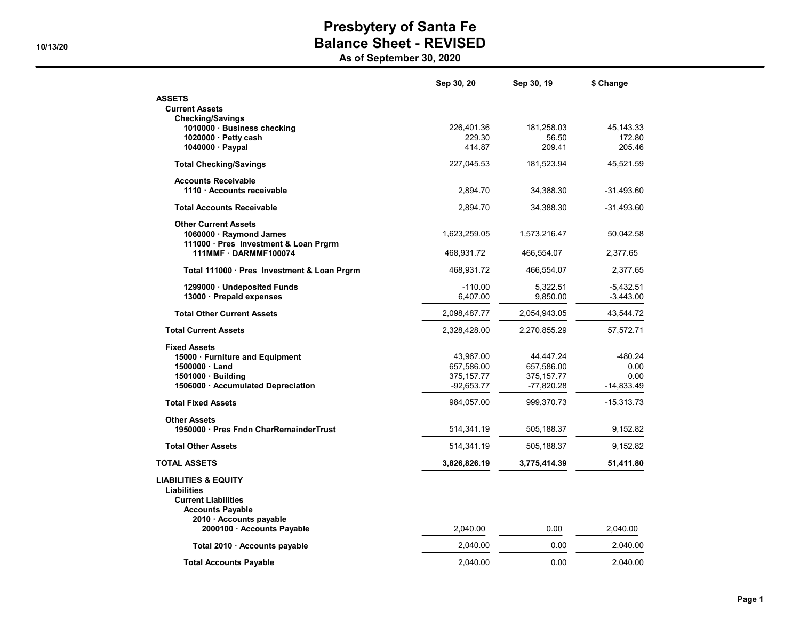As of September 30, 2020

|                                                                                                                                           | Sep 30, 20                  | Sep 30, 19                   | \$ Change                  |
|-------------------------------------------------------------------------------------------------------------------------------------------|-----------------------------|------------------------------|----------------------------|
| <b>ASSETS</b>                                                                                                                             |                             |                              |                            |
| <b>Current Assets</b>                                                                                                                     |                             |                              |                            |
| <b>Checking/Savings</b><br>1010000 · Business checking                                                                                    | 226,401.36                  | 181,258.03                   | 45, 143. 33                |
| 1020000 · Petty cash                                                                                                                      | 229.30                      | 56.50                        | 172.80                     |
| 1040000 · Paypal                                                                                                                          | 414.87                      | 209.41                       | 205.46                     |
| <b>Total Checking/Savings</b>                                                                                                             | 227,045.53                  | 181,523.94                   | 45,521.59                  |
| <b>Accounts Receivable</b><br>1110 · Accounts receivable                                                                                  | 2,894.70                    | 34,388.30                    | -31,493.60                 |
| <b>Total Accounts Receivable</b>                                                                                                          | 2,894.70                    | 34,388.30                    | -31,493.60                 |
| <b>Other Current Assets</b><br>1060000 · Raymond James<br>111000 · Pres Investment & Loan Prgrm                                           | 1,623,259.05                | 1,573,216.47                 | 50,042.58                  |
| 111MMF DARMMF100074                                                                                                                       | 468,931.72                  | 466,554.07                   | 2,377.65                   |
| Total 111000 · Pres Investment & Loan Prgrm                                                                                               | 468,931.72                  | 466,554.07                   | 2,377.65                   |
| 1299000 · Undeposited Funds<br>13000 · Prepaid expenses                                                                                   | $-110.00$<br>6,407.00       | 5,322.51<br>9,850.00         | $-5,432.51$<br>$-3,443.00$ |
| <b>Total Other Current Assets</b>                                                                                                         | 2,098,487.77                | 2,054,943.05                 | 43,544.72                  |
| <b>Total Current Assets</b>                                                                                                               | 2,328,428.00                | 2,270,855.29                 | 57,572.71                  |
| <b>Fixed Assets</b>                                                                                                                       |                             |                              |                            |
| 15000 · Furniture and Equipment                                                                                                           | 43,967.00                   | 44,447.24                    | -480.24                    |
| 1500000 Land                                                                                                                              | 657,586.00                  | 657,586.00                   | 0.00                       |
| 1501000 · Building<br>1506000 Accumulated Depreciation                                                                                    | 375, 157.77<br>$-92,653.77$ | 375, 157. 77<br>$-77,820.28$ | 0.00<br>-14,833.49         |
| <b>Total Fixed Assets</b>                                                                                                                 | 984,057.00                  | 999,370.73                   | -15,313.73                 |
|                                                                                                                                           |                             |                              |                            |
| <b>Other Assets</b><br>1950000 · Pres Fndn CharRemainderTrust                                                                             | 514,341.19                  | 505,188.37                   | 9,152.82                   |
| <b>Total Other Assets</b>                                                                                                                 | 514,341.19                  | 505,188.37                   | 9,152.82                   |
| <b>TOTAL ASSETS</b>                                                                                                                       | 3,826,826.19                | 3,775,414.39                 | 51,411.80                  |
| <b>LIABILITIES &amp; EQUITY</b><br><b>Liabilities</b><br><b>Current Liabilities</b><br><b>Accounts Payable</b><br>2010 · Accounts payable |                             |                              |                            |
| 2000100 · Accounts Payable                                                                                                                | 2,040.00                    | 0.00                         | 2,040.00                   |
| Total 2010 · Accounts payable                                                                                                             | 2,040.00                    | 0.00                         | 2,040.00                   |
| <b>Total Accounts Payable</b>                                                                                                             | 2.040.00                    | 0.00                         | 2,040.00                   |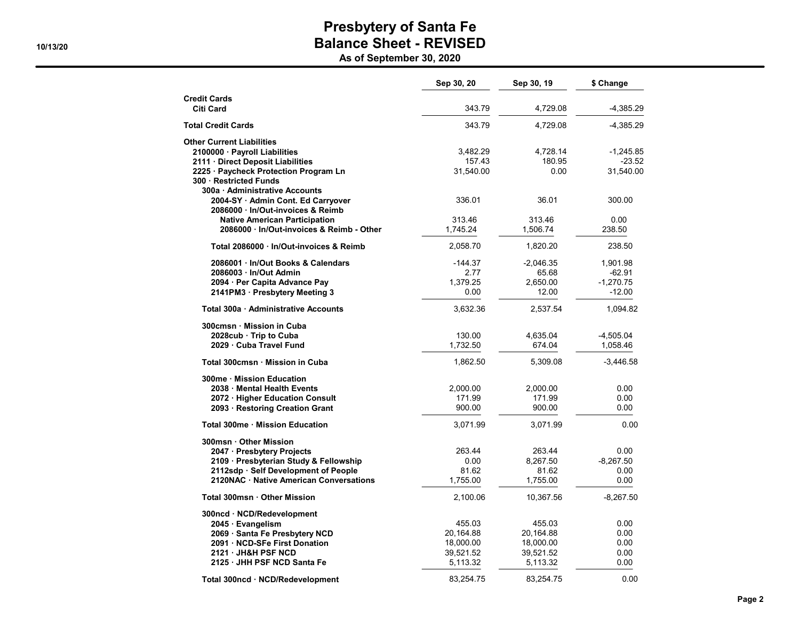As of September 30, 2020

|                                                                       | Sep 30, 20 | Sep 30, 19  | \$ Change   |
|-----------------------------------------------------------------------|------------|-------------|-------------|
| <b>Credit Cards</b><br><b>Citi Card</b>                               | 343.79     | 4,729.08    | $-4,385.29$ |
| <b>Total Credit Cards</b>                                             | 343.79     | 4,729.08    | -4,385.29   |
|                                                                       |            |             |             |
| <b>Other Current Liabilities</b><br>2100000 Payroll Liabilities       | 3,482.29   | 4,728.14    | $-1,245.85$ |
| 2111 · Direct Deposit Liabilities                                     | 157.43     | 180.95      | $-23.52$    |
| 2225 · Paycheck Protection Program Ln<br>300 · Restricted Funds       | 31,540.00  | 0.00        | 31,540.00   |
| 300a · Administrative Accounts                                        |            |             |             |
| 2004-SY · Admin Cont. Ed Carryover<br>2086000 In/Out-invoices & Reimb | 336.01     | 36.01       | 300.00      |
| <b>Native American Participation</b>                                  | 313.46     | 313.46      | 0.00        |
| 2086000 · In/Out-invoices & Reimb - Other                             | 1,745.24   | 1,506.74    | 238.50      |
| Total 2086000 · In/Out-invoices & Reimb                               | 2.058.70   | 1,820.20    | 238.50      |
| 2086001 In/Out Books & Calendars                                      | $-144.37$  | $-2,046.35$ | 1,901.98    |
| 2086003 In/Out Admin                                                  | 2.77       | 65.68       | $-62.91$    |
| 2094 · Per Capita Advance Pay                                         | 1,379.25   | 2,650.00    | $-1,270.75$ |
| 2141PM3 · Presbytery Meeting 3                                        | 0.00       | 12.00       | $-12.00$    |
| Total 300a · Administrative Accounts                                  | 3,632.36   | 2,537.54    | 1,094.82    |
| 300cmsn Mission in Cuba                                               |            |             |             |
| 2028cub Trip to Cuba                                                  | 130.00     | 4,635.04    | $-4,505.04$ |
| 2029 Cuba Travel Fund                                                 | 1,732.50   | 674.04      | 1,058.46    |
| Total 300cmsn · Mission in Cuba                                       | 1,862.50   | 5,309.08    | -3,446.58   |
| 300me · Mission Education                                             |            |             |             |
| 2038 Mental Health Events                                             | 2,000.00   | 2,000.00    | 0.00        |
| 2072 · Higher Education Consult                                       | 171.99     | 171.99      | 0.00        |
| 2093 · Restoring Creation Grant                                       | 900.00     | 900.00      | 0.00        |
| Total 300me · Mission Education                                       | 3,071.99   | 3,071.99    | 0.00        |
| 300msn Other Mission                                                  |            |             |             |
| 2047 · Presbytery Projects                                            | 263.44     | 263.44      | 0.00        |
| 2109 · Presbyterian Study & Fellowship                                | 0.00       | 8,267.50    | $-8,267.50$ |
| 2112sdp · Self Development of People                                  | 81.62      | 81.62       | 0.00        |
| 2120NAC · Native American Conversations                               | 1,755.00   | 1,755.00    | 0.00        |
| Total 300msn · Other Mission                                          | 2,100.06   | 10,367.56   | $-8,267.50$ |
| 300ncd · NCD/Redevelopment                                            |            |             |             |
| 2045 · Evangelism                                                     | 455.03     | 455.03      | 0.00        |
| 2069 · Santa Fe Presbytery NCD                                        | 20,164.88  | 20,164.88   | 0.00        |
| 2091 · NCD-SFe First Donation                                         | 18,000.00  | 18,000.00   | 0.00        |
| 2121 JH&H PSF NCD                                                     | 39,521.52  | 39,521.52   | 0.00        |
| 2125 JHH PSF NCD Santa Fe                                             | 5,113.32   | 5,113.32    | 0.00        |
| Total 300ncd · NCD/Redevelopment                                      | 83,254.75  | 83,254.75   | 0.00        |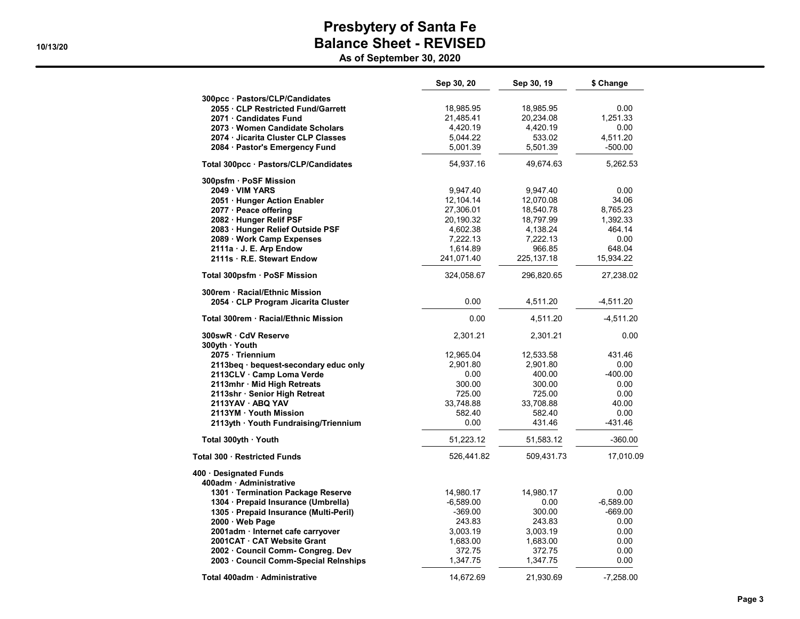As of September 30, 2020

|                                        | Sep 30, 20  | Sep 30, 19   | \$ Change   |
|----------------------------------------|-------------|--------------|-------------|
| 300pcc · Pastors/CLP/Candidates        |             |              |             |
| 2055 CLP Restricted Fund/Garrett       | 18,985.95   | 18,985.95    | 0.00        |
| 2071 · Candidates Fund                 | 21,485.41   | 20,234.08    | 1,251.33    |
| 2073 · Women Candidate Scholars        | 4,420.19    | 4,420.19     | 0.00        |
| 2074 · Jicarita Cluster CLP Classes    | 5,044.22    | 533.02       | 4,511.20    |
| 2084 · Pastor's Emergency Fund         | 5,001.39    | 5,501.39     | $-500.00$   |
| Total 300pcc · Pastors/CLP/Candidates  | 54,937.16   | 49,674.63    | 5,262.53    |
| 300psfm · PoSF Mission                 |             |              |             |
| 2049 VIM YARS                          | 9,947.40    | 9,947.40     | 0.00        |
| 2051 · Hunger Action Enabler           | 12,104.14   | 12,070.08    | 34.06       |
| 2077 · Peace offering                  | 27,306.01   | 18,540.78    | 8,765.23    |
| 2082 · Hunger Relif PSF                | 20,190.32   | 18,797.99    | 1,392.33    |
| 2083 · Hunger Relief Outside PSF       | 4,602.38    | 4,138.24     | 464.14      |
| 2089 · Work Camp Expenses              | 7,222.13    | 7,222.13     | 0.00        |
| 2111a · J. E. Arp Endow                | 1,614.89    | 966.85       | 648.04      |
| 2111s · R.E. Stewart Endow             | 241,071.40  | 225, 137. 18 | 15,934.22   |
| Total 300psfm · PoSF Mission           | 324,058.67  | 296,820.65   | 27,238.02   |
| 300rem · Racial/Ethnic Mission         | 0.00        |              |             |
| 2054 · CLP Program Jicarita Cluster    |             | 4,511.20     | $-4,511.20$ |
| Total 300rem · Racial/Ethnic Mission   | 0.00        | 4,511.20     | $-4,511.20$ |
| 300swR · CdV Reserve                   | 2,301.21    | 2,301.21     | 0.00        |
| 300yth · Youth                         |             |              |             |
| 2075 · Triennium                       | 12,965.04   | 12,533.58    | 431.46      |
| 2113beg · bequest-secondary educ only  | 2,901.80    | 2,901.80     | 0.00        |
| 2113CLV · Camp Loma Verde              | 0.00        | 400.00       | $-400.00$   |
| 2113mhr · Mid High Retreats            | 300.00      | 300.00       | 0.00        |
| 2113shr · Senior High Retreat          | 725.00      | 725.00       | 0.00        |
| 2113YAV · ABQ YAV                      | 33,748.88   | 33,708.88    | 40.00       |
| 2113YM · Youth Mission                 | 582.40      | 582.40       | 0.00        |
| 2113yth · Youth Fundraising/Triennium  | 0.00        | 431.46       | -431.46     |
| Total 300yth · Youth                   | 51,223.12   | 51,583.12    | $-360.00$   |
| Total 300 · Restricted Funds           | 526,441.82  | 509,431.73   | 17,010.09   |
| 400 · Designated Funds                 |             |              |             |
| 400adm · Administrative                |             |              |             |
| 1301 · Termination Package Reserve     | 14,980.17   | 14,980.17    | 0.00        |
| 1304 · Prepaid Insurance (Umbrella)    | $-6,589.00$ | 0.00         | $-6,589.00$ |
| 1305 · Prepaid Insurance (Multi-Peril) | $-369.00$   | 300.00       | $-669.00$   |
| 2000 · Web Page                        | 243.83      | 243.83       | 0.00        |
| 2001adm · Internet cafe carryover      | 3,003.19    | 3,003.19     | 0.00        |
| 2001CAT · CAT Website Grant            | 1,683.00    | 1,683.00     | 0.00        |
| 2002 · Council Comm- Congreg. Dev      | 372.75      | 372.75       | 0.00        |
| 2003 · Council Comm-Special Relnships  | 1,347.75    | 1,347.75     | 0.00        |
| Total 400adm · Administrative          | 14,672.69   | 21,930.69    | $-7,258.00$ |

Page 3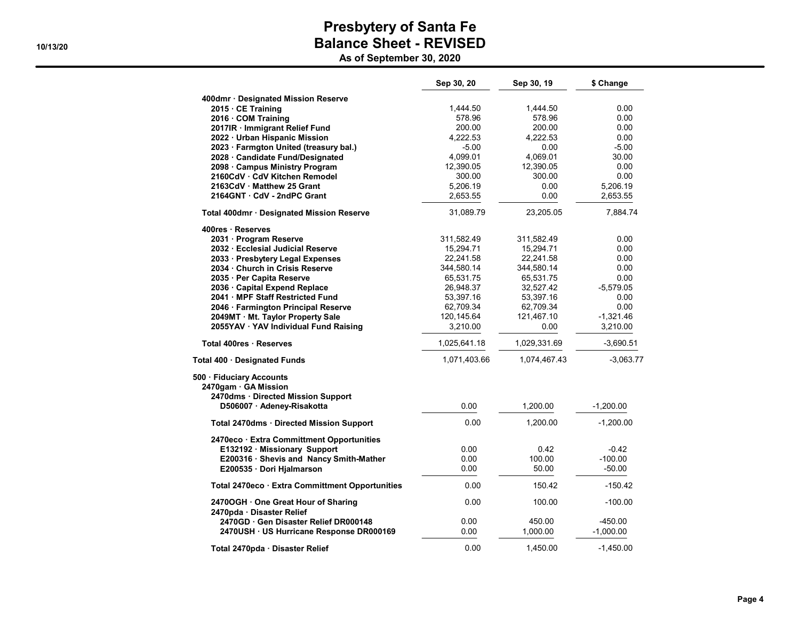As of September 30, 2020

|                                                                  | Sep 30, 20   | Sep 30, 19   | \$ Change   |
|------------------------------------------------------------------|--------------|--------------|-------------|
| 400dmr · Designated Mission Reserve                              |              |              |             |
| $2015 \cdot \text{CE Training}$                                  | 1,444.50     | 1,444.50     | 0.00        |
| 2016 · COM Training                                              | 578.96       | 578.96       | 0.00        |
| 2017IR · Immigrant Relief Fund                                   | 200.00       | 200.00       | 0.00        |
| 2022 · Urban Hispanic Mission                                    | 4.222.53     | 4,222.53     | 0.00        |
| 2023 · Farmgton United (treasury bal.)                           | $-5.00$      | 0.00         | $-5.00$     |
| 2028 · Candidate Fund/Designated                                 | 4,099.01     | 4,069.01     | 30.00       |
| 2098 · Campus Ministry Program                                   | 12,390.05    | 12,390.05    | 0.00        |
| 2160CdV · CdV Kitchen Remodel                                    | 300.00       | 300.00       | 0.00        |
| 2163CdV Matthew 25 Grant                                         | 5,206.19     | 0.00         | 5,206.19    |
| 2164GNT CdV - 2ndPC Grant                                        | 2,653.55     | 0.00         | 2,653.55    |
| Total 400dmr · Designated Mission Reserve                        | 31,089.79    | 23,205.05    | 7,884.74    |
| 400res Reserves                                                  |              |              |             |
| 2031 · Program Reserve                                           | 311,582.49   | 311,582.49   | 0.00        |
| 2032 · Ecclesial Judicial Reserve                                | 15,294.71    | 15,294.71    | 0.00        |
| 2033 · Presbytery Legal Expenses                                 | 22,241.58    | 22,241.58    | 0.00        |
| 2034 · Church in Crisis Reserve                                  | 344,580.14   | 344,580.14   | 0.00        |
| 2035 · Per Capita Reserve                                        | 65,531.75    | 65,531.75    | 0.00        |
| 2036 Capital Expend Replace                                      | 26,948.37    | 32,527.42    | $-5,579.05$ |
| 2041 MPF Staff Restricted Fund                                   | 53,397.16    | 53,397.16    | 0.00        |
| 2046 · Farmington Principal Reserve                              | 62,709.34    | 62,709.34    | 0.00        |
| 2049MT · Mt. Taylor Property Sale                                | 120,145.64   | 121,467.10   | $-1,321.46$ |
| 2055YAV · YAV Individual Fund Raising                            | 3,210.00     | 0.00         | 3,210.00    |
| Total 400res · Reserves                                          | 1,025,641.18 | 1,029,331.69 | $-3,690.51$ |
| Total 400 · Designated Funds                                     | 1,071,403.66 | 1,074,467.43 | $-3,063.77$ |
| 500 · Fiduciary Accounts                                         |              |              |             |
| 2470gam · GA Mission                                             |              |              |             |
| 2470dms · Directed Mission Support<br>D506007 · Adeney-Risakotta | 0.00         | 1,200.00     | $-1,200.00$ |
| Total 2470dms · Directed Mission Support                         | 0.00         | 1,200.00     | $-1,200.00$ |
| 2470eco · Extra Committment Opportunities                        |              |              |             |
| E132192 · Missionary Support                                     | 0.00         | 0.42         | $-0.42$     |
| E200316 · Shevis and Nancy Smith-Mather                          | 0.00         | 100.00       | $-100.00$   |
| E200535 · Dori Hjalmarson                                        | 0.00         | 50.00        | $-50.00$    |
| Total 2470eco · Extra Committment Opportunities                  | 0.00         | 150.42       | $-150.42$   |
| 2470OGH · One Great Hour of Sharing<br>2470pda · Disaster Relief | 0.00         | 100.00       | $-100.00$   |
| 2470GD Gen Disaster Relief DR000148                              | 0.00         | 450.00       | $-450.00$   |
| 2470USH · US Hurricane Response DR000169                         | 0.00         | 1,000.00     | $-1,000.00$ |
| Total 2470pda · Disaster Relief                                  | 0.00         | 1,450.00     | $-1,450.00$ |